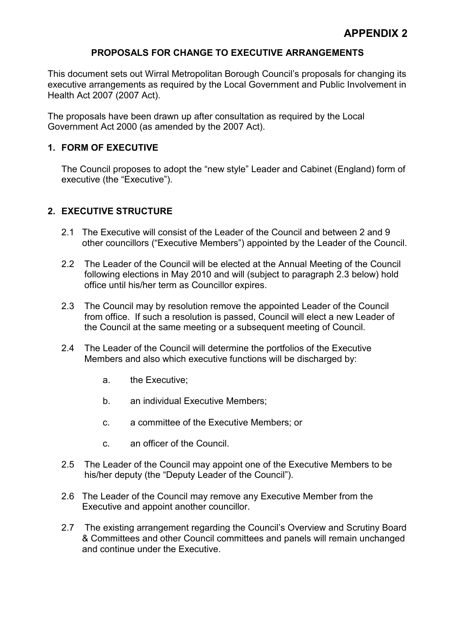### PROPOSALS FOR CHANGE TO EXECUTIVE ARRANGEMENTS

This document sets out Wirral Metropolitan Borough Council's proposals for changing its executive arrangements as required by the Local Government and Public Involvement in Health Act 2007 (2007 Act).

The proposals have been drawn up after consultation as required by the Local Government Act 2000 (as amended by the 2007 Act).

### 1. FORM OF EXECUTIVE

The Council proposes to adopt the "new style" Leader and Cabinet (England) form of executive (the "Executive").

# 2. EXECUTIVE STRUCTURE

- 2.1 The Executive will consist of the Leader of the Council and between 2 and 9 other councillors ("Executive Members") appointed by the Leader of the Council.
- 2.2 The Leader of the Council will be elected at the Annual Meeting of the Council following elections in May 2010 and will (subject to paragraph 2.3 below) hold office until his/her term as Councillor expires.
- 2.3 The Council may by resolution remove the appointed Leader of the Council from office. If such a resolution is passed, Council will elect a new Leader of the Council at the same meeting or a subsequent meeting of Council.
- 2.4 The Leader of the Council will determine the portfolios of the Executive Members and also which executive functions will be discharged by:
	- a. the Executive;
	- b. an individual Executive Members;
	- c. a committee of the Executive Members; or
	- c. an officer of the Council.
- 2.5 The Leader of the Council may appoint one of the Executive Members to be his/her deputy (the "Deputy Leader of the Council").
- 2.6 The Leader of the Council may remove any Executive Member from the Executive and appoint another councillor.
- 2.7 The existing arrangement regarding the Council's Overview and Scrutiny Board & Committees and other Council committees and panels will remain unchanged and continue under the Executive.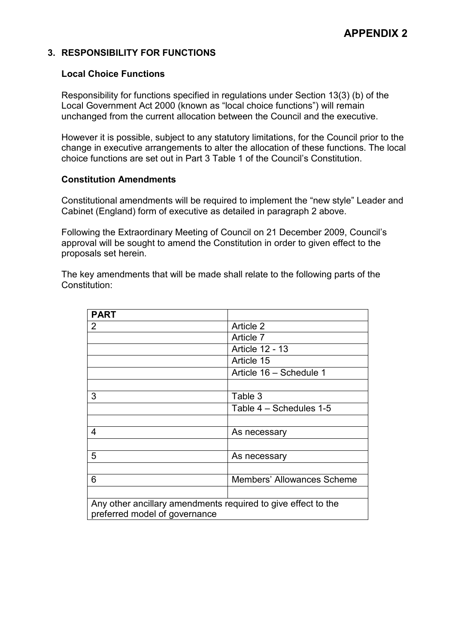### 3. RESPONSIBILITY FOR FUNCTIONS

### Local Choice Functions

Responsibility for functions specified in regulations under Section 13(3) (b) of the Local Government Act 2000 (known as "local choice functions") will remain unchanged from the current allocation between the Council and the executive.

However it is possible, subject to any statutory limitations, for the Council prior to the change in executive arrangements to alter the allocation of these functions. The local choice functions are set out in Part 3 Table 1 of the Council's Constitution.

### Constitution Amendments

Constitutional amendments will be required to implement the "new style" Leader and Cabinet (England) form of executive as detailed in paragraph 2 above.

Following the Extraordinary Meeting of Council on 21 December 2009, Council's approval will be sought to amend the Constitution in order to given effect to the proposals set herein.

The key amendments that will be made shall relate to the following parts of the Constitution:

| <b>PART</b>                                                   |                            |
|---------------------------------------------------------------|----------------------------|
| $\overline{2}$                                                | Article 2                  |
|                                                               | Article 7                  |
|                                                               | <b>Article 12 - 13</b>     |
|                                                               | Article 15                 |
|                                                               | Article 16 - Schedule 1    |
|                                                               |                            |
| 3                                                             | Table 3                    |
|                                                               | Table 4 - Schedules 1-5    |
|                                                               |                            |
| 4                                                             | As necessary               |
|                                                               |                            |
| 5                                                             | As necessary               |
|                                                               |                            |
| 6                                                             | Members' Allowances Scheme |
|                                                               |                            |
| Any other ancillary amendments required to give effect to the |                            |
| preferred model of governance                                 |                            |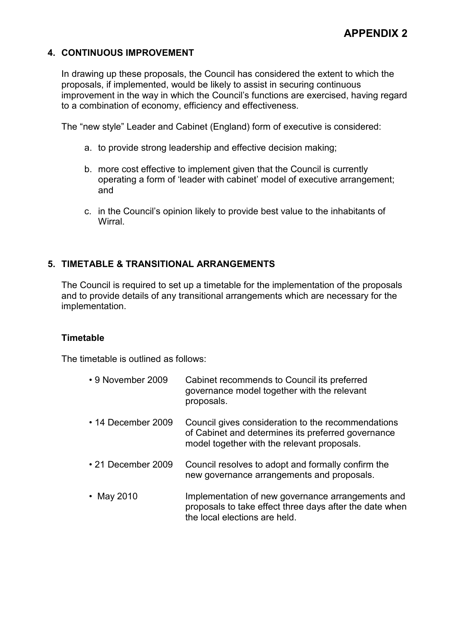### 4. CONTINUOUS IMPROVEMENT

In drawing up these proposals, the Council has considered the extent to which the proposals, if implemented, would be likely to assist in securing continuous improvement in the way in which the Council's functions are exercised, having regard to a combination of economy, efficiency and effectiveness.

The "new style" Leader and Cabinet (England) form of executive is considered:

- a. to provide strong leadership and effective decision making;
- b. more cost effective to implement given that the Council is currently operating a form of 'leader with cabinet' model of executive arrangement; and
- c. in the Council's opinion likely to provide best value to the inhabitants of **Wirral**

### 5. TIMETABLE & TRANSITIONAL ARRANGEMENTS

The Council is required to set up a timetable for the implementation of the proposals and to provide details of any transitional arrangements which are necessary for the implementation.

#### **Timetable**

The timetable is outlined as follows:

| • 9 November 2009        | Cabinet recommends to Council its preferred<br>governance model together with the relevant<br>proposals.                                                |
|--------------------------|---------------------------------------------------------------------------------------------------------------------------------------------------------|
| $\cdot$ 14 December 2009 | Council gives consideration to the recommendations<br>of Cabinet and determines its preferred governance<br>model together with the relevant proposals. |
| • 21 December 2009       | Council resolves to adopt and formally confirm the<br>new governance arrangements and proposals.                                                        |
| • May 2010               | Implementation of new governance arrangements and<br>proposals to take effect three days after the date when<br>the local elections are held.           |